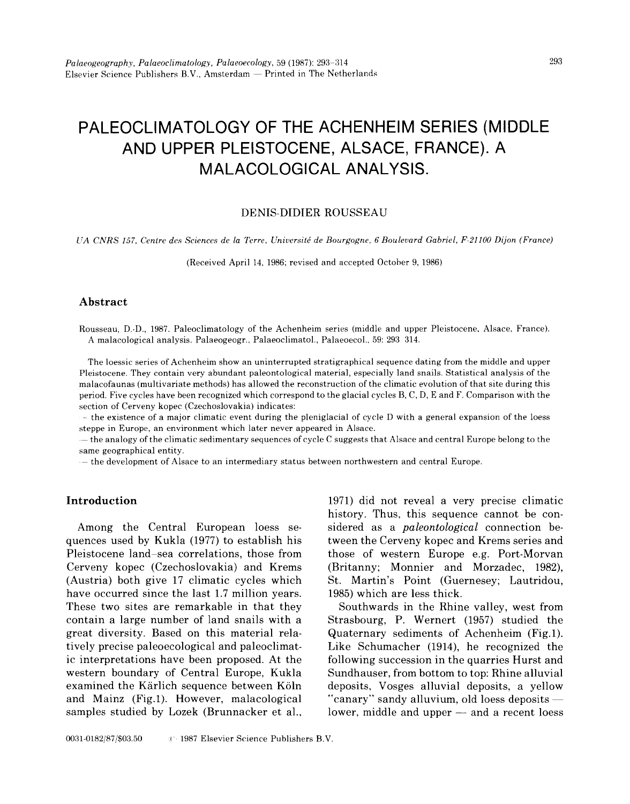# **PALEOCLIMATOLOGY OF THE ACHENHEIM SERIES (MIDDLE AND UPPER PLEISTOCENE, ALSACE, FRANCE). A MALACOLOGICAL ANALYSIS.**

# DENIS-DIDIER ROUSSEAU

*UA CNRS 157, Centre des Sciences de la Terre, Université de Bourgogne, 6 Boulevard Gabriel, F-21100 Dijon (France)* 

(Received April 14, 1986: revised and accepted October 9, 1986)

### **Abstract**

Rousseau, D.-D., 1987. Paleoclimatology of the Achenheim series (middle and upper Pleistocene, Alsace, France). A malacological analysis. Palaeogeogr., Palaeoclimatol., Palaeoecol., 59:293 314.

The loessic series of Achenheim show an uninterrupted stratigraphical sequence dating from the middle and upper Pleistocene. They contain very abundant paleontological material, especially land snails. Statistical analysis of the malacofaunas (multivariate methods) has allowed the reconstruction of the climatic evolution of that site during this period. Five cycles have been recognized which correspond to the glacial cycles B, C, D, E and F. Comparison with the section of Cerveny kopec (Czechoslovakia) indicates:

- the existence of a major climatic event during the pleniglacial of cycle D with a general expansion of the loess steppe in Europe, an environment which later never appeared in Alsace.

the analogy of the climatic sedimentary sequences of cycle C suggests that Alsace and central Europe belong to the same geographical entity.

 $-$  the development of Alsace to an intermediary status between northwestern and central Europe.

#### **Introduction**

Among the Central European loess sequences used by Kukla (1977) to establish his Pleistocene land-sea correlations, those from Cerveny kopec (Czechoslovakia) and Krems (Austria) both give 17 climatic cycles which have occurred since the last 1.7 million years. These two sites are remarkable in that they contain a large number of land snails with a great diversity. Based on this material relatively precise paleoecological and paleoclimatic interpretations have been proposed. At the western boundary of Central Europe, Kukla examined the Kärlich sequence between Köln and Mainz (Fig.l). However, malacological samples studied by Lozek (Brunnacker et al., 1971) did not reveal a very precise climatic history. Thus, this sequence cannot be considered as a *paleontological* connection between the Cerveny kopec and Krems series and those of western Europe e.g. Port-Morvan (Britanny; Monnier and Morzadec, 1982), St. Martin's Point (Guernesey; Lautridou, 1985) which are less thick.

Southwards in the Rhine valley, west from Strasbourg, P. Wernert (1957) studied the Quaternary sediments of Achenheim (Fig.l). Like Schumacher (1914), he recognized the following succession in the quarries Hurst and Sundhauser, from bottom to top: Rhine alluvial deposits, Vosges alluvial deposits, a yellow "canary" sandy alluvium, old loess deposits lower, middle and upper  $-$  and a recent loess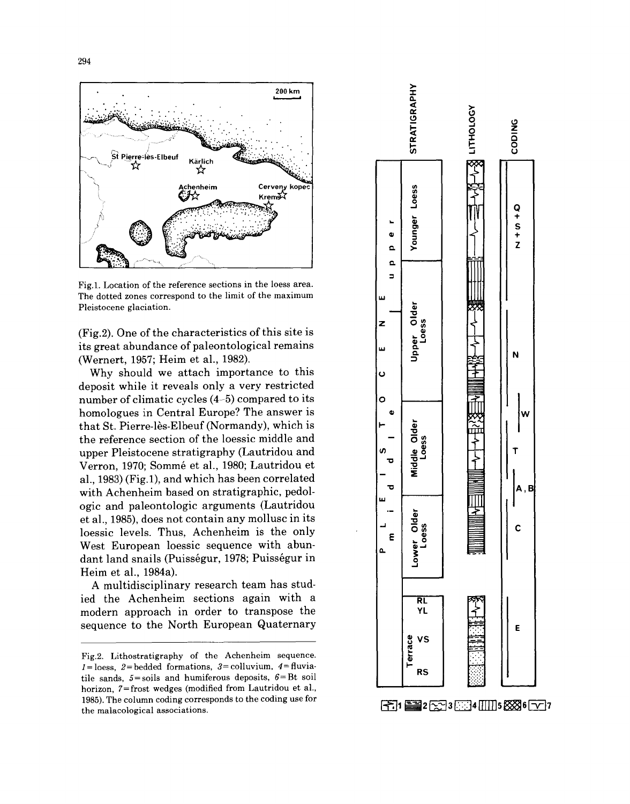

Fig.1. Location of the reference sections in the loess area. The dotted zones correspond to the limit of the maximum Pleistocene glaciation.

(Fig.2). One of the characteristics of this site is its great abundance of paleontological remains (Wernert, 1957; Heim et al., 1982).

Why should we attach importance to this deposit while it reveals only a very restricted number of climatic cycles (4-5) compared to its homologues in Central Europe? The answer is that St. Pierre-lès-Elbeuf (Normandy), which is the reference section of the loessic middle and upper Pleistocene stratigraphy (Lautridou and Verron, 1970; Sommé et al., 1980; Lautridou et al., 1983) (Fig.l), and which has been correlated with Achenheim based on stratigraphic, pedologic and paleontologic arguments (Lautridou et al., 1985), does not contain any mollusc in its loessic levels. Thus, Achenheim is the only West European loessic sequence with abundant land snails (Puisségur, 1978; Puisségur in Heim et al., 1984a).

A multidisciplinary research team has studied the Achenheim sections again with a modern approach in order to transpose the sequence to the North European Quaternary



Fig.2. Lithostratigraphy of the Achenheim sequence.  $1 =$ loess, 2= bedded formations, 3= colluvium, 4= fluviatile sands, *5=soils* and humiferous deposits, *6=Bt* soil horizon, *7=frost* wedges (modified from Lautridou et al., 1985). The column coding corresponds to the coding use for the malacological associations.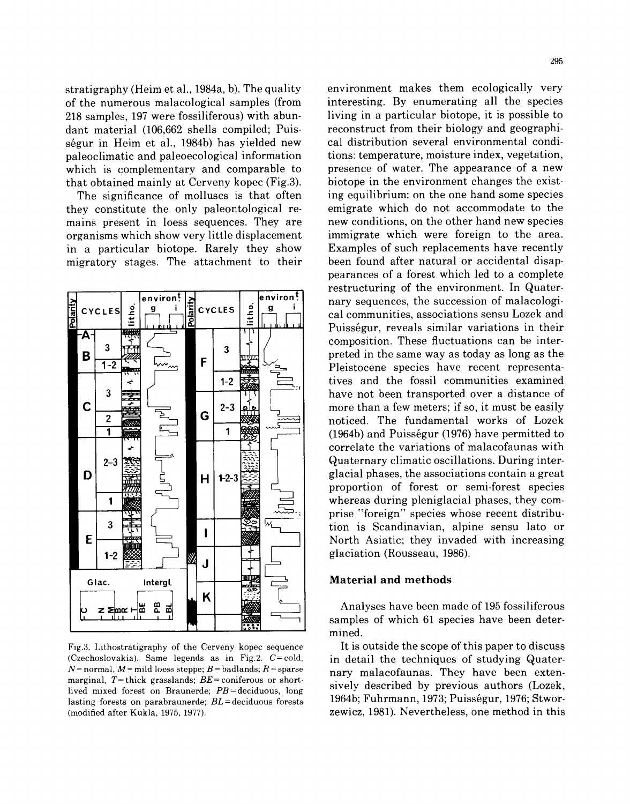stratigraphy (Heim et al., 1984a, b). The quality of the numerous malacological samples (from 218 samples, 197 were fossiliferous) with abundant material (106,662 shells compiled; Puisségur in Heim et al., 1984b) has yielded new paleoclimatic and paleoecological information which is complementary and comparable to that obtained mainly at Cerveny kopec (Fig.3).

The significance of molluscs is that often they constitute the only paleontological remains present in loess sequences. They are organisms which show very little displacement in a particular biotope. Rarely they show migratory stages. The attachment to their



Fig.3. Lithostratigraphy of the Cerveny kopec sequence (Czechoslovakia). Same legends as in Fig.2.  $C = \text{cold}$ ,  $N=$  normal,  $M=$  mild loess steppe;  $B=$  badlands;  $R=$  sparse marginal,  $T=$  thick grasslands;  $BE=$  coniferous or shortlived mixed forest on Braunerde; *PB=deciduous,* long lasting forests on parabraunerde; *BL=deciduous* forests (modified after Kukla, 1975, 1977).

environment makes them ecologically very interesting. By enumerating all the species living in a particular biotope, it is possible to reconstruct from their biology and geographical distribution several environmental conditions: temperature, moisture index, vegetation, presence of water. The appearance of a new biotope in the environment changes the existing equilibrium: on the one hand some species emigrate which do not accommodate to the new conditions, on the other hand new species immigrate which were foreign to the area. Examples of such replacements have recently been found after natural or accidental disappearances of a forest which led to a complete restructuring of the environment. In Quaternary sequences, the succession of malacological communities, associations sensu Lozek and Puisségur, reveals similar variations in their composition. These fluctuations can be interpreted in the same way as today as long as the Pleistocene species have recent representatives and the fossil communities examined have not been transported over a distance of more than a few meters; if so, it must be easily noticed. The fundamental works of Lozek  $(1964b)$  and Puisségur  $(1976)$  have permitted to correlate the variations of malacofaunas with Quaternary climatic oscillations. During interglacial phases, the associations contain a great proportion of forest or semi-forest species whereas during pleniglacial phases, they comprise "foreign" species whose recent distribution is Scandinavian, alpine sensu lato or North Asiatic; they invaded with increasing glaciation (Rousseau, 1986).

# **Material and methods**

Analyses have been made of 195 fossiliferous samples of which 61 species have been determined.

It is outside the scope of this paper to discuss in detail the techniques of studying Quaternary malacofaunas. They have been extensively described by previous authors (Lozek, 1964b; Fuhrmann, 1973; Puisségur, 1976; Stworzewicz, 1981). Nevertheless, one method in this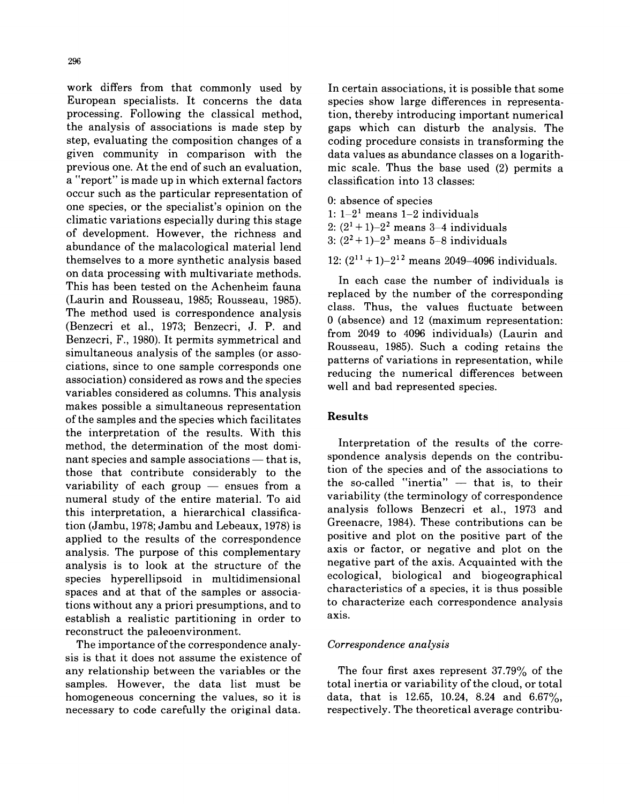work differs from that commonly used by European specialists. It concerns the data processing. Following the classical method, the analysis of associations is made step by step, evaluating the composition changes of a given community in comparison with the previous one. At the end of such an evaluation, a "report" is made up in which external factors occur such as the particular representation of one species, or the specialist's opinion on the climatic variations especially during this stage of development. However, the richness and abundance of the malacological material lend themselves to a more synthetic analysis based on data processing with multivariate methods. This has been tested on the Achenheim fauna (Laurin and Rousseau, 1985; Rousseau, 1985). The method used is correspondence analysis (Benzecri et al., 1973; Benzecri, J. P. and Benzecri, F., 1980). It permits symmetrical and simultaneous analysis of the samples (or associations, since to one sample corresponds one association) considered as rows and the species variables considered as columns. This analysis makes possible a simultaneous representation of the samples and the species which facilitates the interpretation of the results. With this method, the determination of the most dominant species and sample associations  $-$  that is, those that contribute considerably to the variability of each group  $-$  ensues from a numeral study of the entire material. To aid this interpretation, a hierarchical classification (Jambu, 1978; Jambu and Lebeaux, 1978) is applied to the results of the correspondence analysis. The purpose of this complementary analysis is to look at the structure of the species hyperellipsoid in multidimensional spaces and at that of the samples or associations without any a priori presumptions, and to establish a realistic partitioning in order to reconstruct the paleoenvironment.

The importance of the correspondence analysis is that it does not assume the existence of any relationship between the variables or the samples. However, the data list must be homogeneous concerning the values, so it is necessary to code carefully the original data.

In certain associations, it is possible that some species show large differences in representation, thereby introducing important numerical gaps which can disturb the analysis. The coding procedure consists in transforming the data values as abundance classes on a logarithmic scale. Thus the base used (2) permits a classification into 13 classes:

- 0: absence of species 1:  $1-2^1$  means  $1-2$  individuals 2:  $(2^1 + 1) - 2^2$  means 3-4 individuals 3:  $(2^2+1)-2^3$  means 5-8 individuals
- 12:  $(2^{11}+1)-2^{12}$  means 2049-4096 individuals.

In each case the number of individuals is replaced by the number of the corresponding class. Thus, the values fluctuate between 0 (absence) and 12 (maximum representation: from 2049 to 4096 individuals) (Laurin and Rousseau, 1985). Such a coding retains the patterns of variations in representation, while reducing the numerical differences between well and bad represented species.

#### **Results**

Interpretation of the results of the correspondence analysis depends on the contribution of the species and of the associations to the so-called "inertia"  $-$  that is, to their variability (the terminology of correspondence analysis follows Benzecri et al., 1973 and Greenacre, 1984). These contributions can be positive and plot on the positive part of the axis or factor, or negative and plot on the negative part of the axis. Acquainted with the ecological, biological and biogeographical characteristics of a species, it is thus possible to characterize each correspondence analysis axis.

# *Correspondence analysis*

The four first axes represent  $37.79\%$  of the total inertia or variability of the cloud, or total data, that is 12.65, 10.24, 8.24 and  $6.67\%$ , respectively. The theoretical average contribu-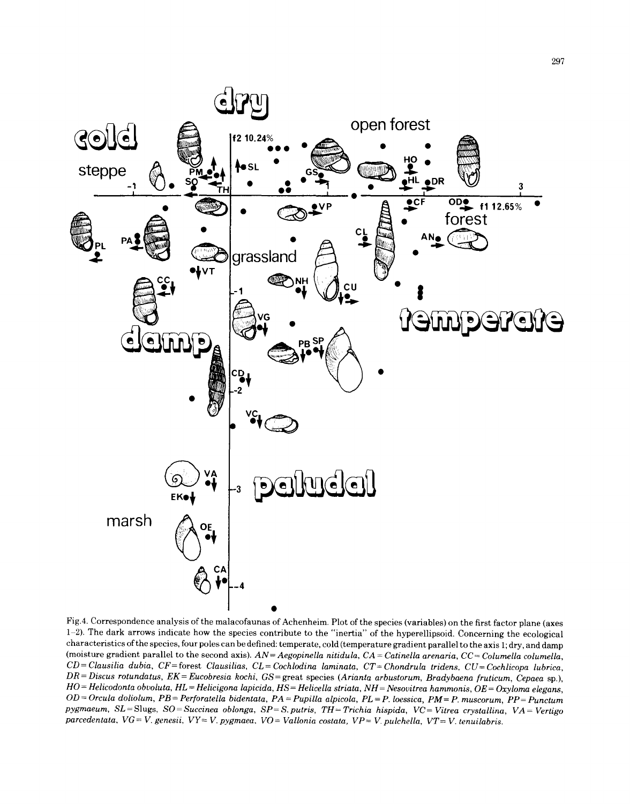

Fig.4. Correspondence analysis of the malacofaunas of Achenheim. Plot of the species (variables) on the first factor plane (axes 1 2). The dark arrows indicate how the species contribute to the "inertia" of the hyperellipsoid. Concerning the ecological characteristics of the species, four poles can be defined: temperate, cold (temperature gradient parallel to the axis 1; dry, and damp (moisture gradient parallel to the second axis). *AN= Aegopinella nitidula, CA = Catinella arenaria, CC = Columella columella, CD= Clausilia dubia, CF=forest Clausilias, CL= Cochlodina laminata, CT= Chondrula tridens, CU= Cochlicopa lubrica, DR= Discus rotundatus, EK= Eucobresia kochi, GS=* great species *(Arianta arbustorum, Bradybaena fruticum, Cepaea* sp.), *HO = Helicodonta obvoluta, HL = Helicigona lapicida, HS = HeliceUa striata, NH- Nesovitrea hammonis, OE = Oxyloma elegans, OD = Orcula doliolum, PB = Perforatella bidentata, PA = Pupilla alpicola, PL = P. loessica, PM= P. muscorum, PP- Punctum pygmaeum,* SL=Slugs, *SO-Succinea oblonga, SP = S. putris, TH= Trichia hispida, VC= Vitrea crystallina, VA = Vertigo parcedentata, VG = V. genesii, VY= V. pygmaea, VO = Vallonia costata, VP= V. pulchella, VT= V. tenuilabris.*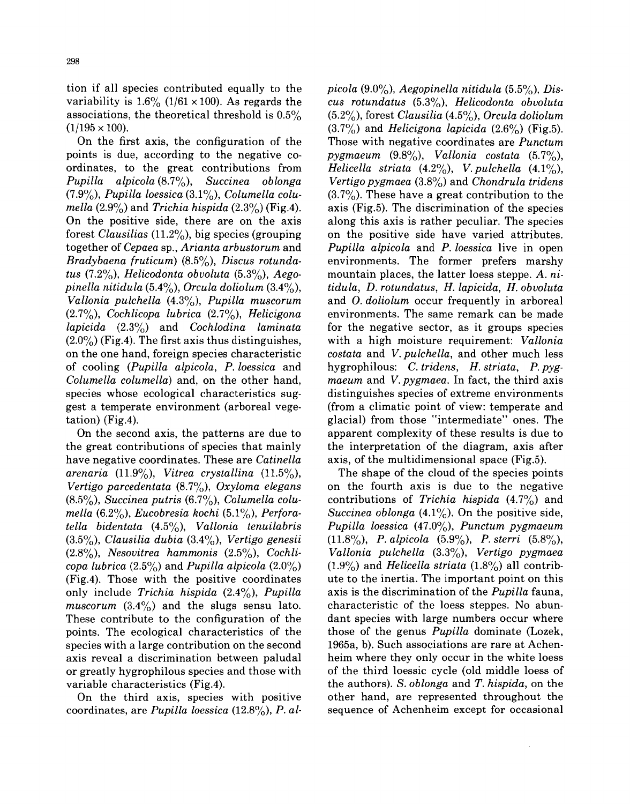tion if all species contributed equally to the variability is  $1.6\%$  (1/61 × 100). As regards the associations, the theoretical threshold is  $0.5\%$  $(1/195 \times 100)$ .

On the first axis, the configuration of the points is due, according to the negative coordinates, to the great contributions from *Pupilla alpicola* (8.7%), *Succinea oblonga*  (7.9%), *Pupilla loessica* (3.1%), *Columella columella* (2.9%) and *Trichia hispida* (2.3%) (Fig.4). On the positive side, there are on the axis forest *Clausilias* (11.2%), big species (grouping together of *Cepaea* sp., *Arianta arbustorum* and *Bradybaena fruticum)* (8.5%), *Discus rotundatus* (7.2%), *Helicodonta obvoluta* (5.3%), *Aegopinella nitidula* (5.4%), *Orcula doliolum* (3.4%), *Vallonia pulchella* (4.3%), *Pupilla muscorum*  (2.7%), *Cochlicopa lubrica* (2.7%), *Helicigona lapicida* (2.3%) and *Cochlodina laminata*   $(2.0\%)$  (Fig.4). The first axis thus distinguishes, on the one hand, foreign species characteristic of cooling *(Pupilla alpicola, P. loessica* and *Columella columella)* and, on the other hand, species whose ecological characteristics suggest a temperate environment (arboreal vegetation) (Fig.4).

On the second axis, the patterns are due to the great contributions of species that mainly have negative coordinates. These are *Catinella arenaria* (11.9%), *Vitrea crystallina* (11.5%), *Vertigo parcedentata* (8.7%), *Oxyloma elegans*  (8.5%), *Succinea putris* (6.7%), *Columella columeUa* (6.2%), *Eucobresia kochi* (5.1%), *Perforatella bidentata* (4.5%), *Vallonia tenuilabris*  (3.5%), *Clausilia dubia* (3.4%), *Vertigo genesii*  (2.8%), *Nesovitrea hammonis* (2.5%), *Cochlicopa lubrica*  $(2.5\%)$  and *Pupilla alpicola*  $(2.0\%)$ (Fig.4). Those with the positive coordinates only include *Trichia hispida* (2.4%), *Pupilla muscorum*  $(3.4\%)$  and the slugs sensu lato. These contribute to the configuration of the points. The ecological characteristics of the species with a large contribution on the second axis reveal a discrimination between paludal or greatly hygrophilous species and those with variable characteristics (Fig.4).

On the third axis, species with positive coordinates, are *Pupilla loessica* (12.8%), *P. al-* *picola* (9.0%), *Aegopinella nitidula* (5.5%), *Discus rotundatus* (5.3%), *Helicodonta obvoluta*  (5.2%), forest *Clausilia* (4.5%), *Orcula doliolum*   $(3.7\%)$  and *Helicigona lapicida*  $(2.6\%)$  (Fig.5). Those with negative coordinates are *Punctum pygmaeum* (9.8%), *Vallonia costata* (5.7%), *Helicella striata* (4.2%), *V. pulchella* (4.1%), *Vertigo pygmaea* (3.8%) and *Chondrula tridens*   $(3.7\%)$ . These have a great contribution to the axis (Fig.5). The discrimination of the species along this axis is rather peculiar. The species on the positive side have varied attributes. *Pupilla alpicola* and *P. loessica* live in open environments. The former prefers marshy mountain places, the latter loess steppe. *A. nitidula, D. rotundatus, H. lapicida, H. obvoluta*  and O. *doliolum* occur frequently in arboreal environments. The same remark can be made for the negative sector, as it groups species with a high moisture requirement: *Vallonia costata* and *V. pulchella,* and other much less hygrophilous: *C. tridens, H. striata, P. pygmaeum* and *V. pygmaea.* In fact, the third axis distinguishes species of extreme environments (from a climatic point of view: temperate and glacial) from those "intermediate" ones. The apparent complexity of these results is due to the interpretation of the diagram, axis after axis, of the multidimensional space (Fig.5).

The shape of the cloud of the species points on the fourth axis is due to the negative contributions of *Trichia hispida* (4.7%) and *Succinea oblonga*  $(4.1\%)$ . On the positive side, *Pupilla loessica* (47.0%), *Punctum pygmaeum* (11.8%), *P. alpicola* (5.9%), *P. sterri* (5.8%), *VaUonia pulcheUa* (3.3%), *Vertigo pygmaea*   $(1.9\%)$  and *Helicella striata*  $(1.8\%)$  all contribute to the inertia. The important point on this axis is the discrimination of the *Pupilla* fauna, characteristic of the loess steppes. No abundant species with large numbers occur where those of the genus *Pupilla* dominate (Lozek, 1965a, b). Such associations are rare at Achenheim where they only occur in the white loess of the third loessic cycle (old middle loess of the authors). *S. oblonga* and *T. hispida,* on the other hand, are represented throughout the sequence of Achenheim except for occasional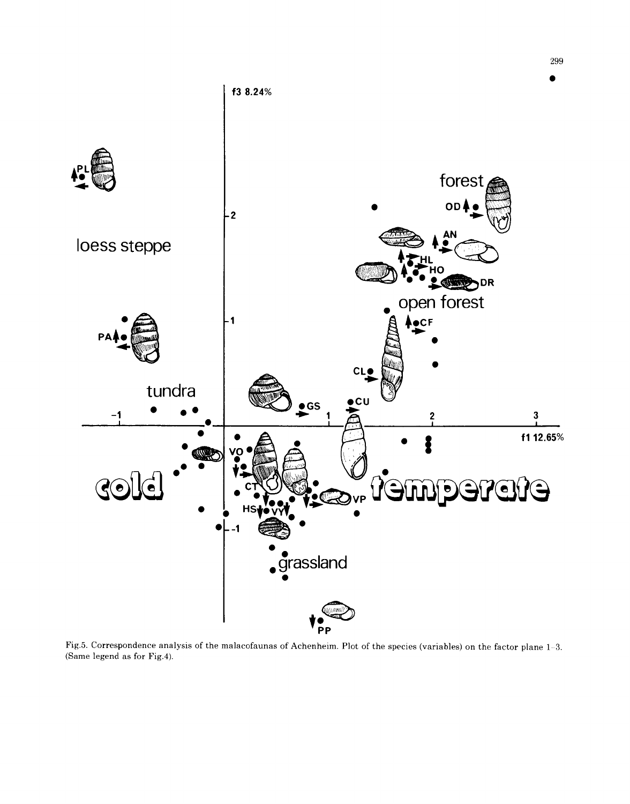

Fig.5. Correspondence analysis of the malacofaunas of Achenheim. Plot of the species (variables) on the factor plane 1-3. (Same legend as for Fig.4).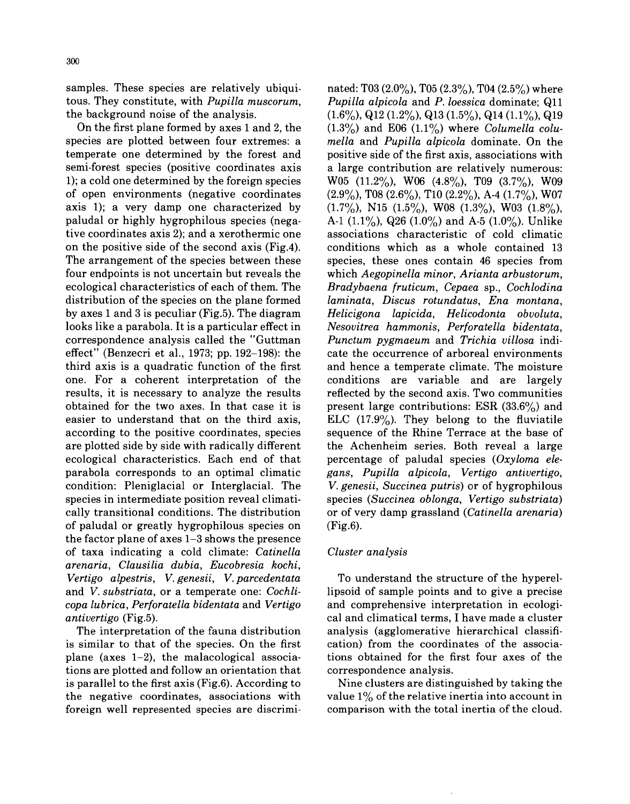samples. These species are relatively ubiquitous. They constitute, with *Pupilla muscorum,*  the background noise of the analysis.

On the first plane formed by axes 1 and 2, the species are plotted between four extremes: a temperate one determined by the forest and semi-forest species (positive coordinates axis 1); a cold one determined by the foreign species of open environments (negative coordinates axis 1); a very damp one characterized by paludal or highly hygrophilous species (negative coordinates axis 2); and a xerothermic one on the positive side of the second axis (Fig.4). The arrangement of the species between these four endpoints is not uncertain but reveals the ecological characteristics of each of them. The distribution of the species on the plane formed by axes 1 and 3 is peculiar (Fig.5). The diagram looks like a parabola. It is a particular effect in correspondence analysis called the "Guttman effect" (Benzecri et al., 1973; pp. 192-198): the third axis is a quadratic function of the first one. For a coherent interpretation of the results, it is necessary to analyze the results obtained for the two axes. In that case it is easier to understand that on the third axis, according to the positive coordinates, species are plotted side by side with radically different ecological characteristics. Each end of that parabola corresponds to an optimal climatic condition: Pleniglacial or Interglacial. The species in intermediate position reveal climatically transitional conditions. The distribution of paludal or greatly hygrophilous species on the factor plane of axes 1-3 shows the presence of taxa indicating a cold climate: *Catinella arenaria, Clausilia dubia, Eucobresia kochi, Vertigo alpestris, V. genesii, V. parcedentata*  and *V. substriata,* or a temperate one: *Cochlicopa lubrica, PerforateUa bidentata* and *Vertigo antivertigo* (Fig.5).

The interpretation of the fauna distribution is similar to that of the species. On the first plane (axes 1-2), the malacological associations are plotted and follow an orientation that is parallel to the first axis (Fig.6). According to the negative coordinates, associations with foreign well represented species are discrimi-

nated: T03 (2.0%), T05 (2.3%), T04 (2.5%) where *Pupilla alpicola* and *P. loessica* dominate; Qll  $(1.6\%)$ , Q12  $(1.2\%)$ , Q13  $(1.5\%)$ , Q14  $(1.1\%)$ , Q19  $(1.3\%)$  and E06  $(1.1\%)$  where *Columella columella* and *Pupilla alpicola* dominate. On the positive side of the first axis, associations with a large contribution are relatively numerous: W05 (11.2%), W06 (4.8%), W09 (3.7%), W09  $(2.9\%)$ , T08  $(2.6\%)$ , T10  $(2.2\%)$ , A-4  $(1.7\%)$ , W07  $(1.7\%)$ , N15  $(1.5\%)$ , W08  $(1.3\%)$ , W03  $(1.8\%)$ , A-1  $(1.1\%)$ , Q26  $(1.0\%)$  and A-5  $(1.0\%)$ . Unlike associations characteristic of cold climatic conditions which as a whole contained 13 species, these ones contain 46 species from which *Aegopinella minor, Arianta arbustorum, Bradybaena fruticum, Cepaea* sp., *Cochlodina laminata, Discus rotundatus, Ena montana, Helicigona lapicida, Helicodonta obvoluta, Nesovitrea hammonis, Perforatella bidentata, Punctum pygmaeum* and *Trichia villosa* indicate the occurrence of arboreal environments and hence a temperate climate. The moisture conditions are variable and are largely reflected by the second axis. Two communities present large contributions: ESR  $(33.6\%)$  and ELC  $(17.9\%)$ . They belong to the fluviatile sequence of the Rhine Terrace at the base of the Achenheim series. Both reveal a large percentage of paludal species *(Oxyloma elegans, Pupilla alpicola, Vertigo antivertigo, V. genesii, Succinea putris)* or of hygrophilous species *(Succinea oblonga, Vertigo substriata)*  or of very damp grassland *(CatineUa arenaria)*  (Fig.6).

# *Cluster analysis*

To understand the structure of the hyperellipsoid of sample points and to give a precise and comprehensive interpretation in ecological and climatical terms, I have made a cluster analysis (agglomerative hierarchical classification) from the coordinates of the associations obtained for the first four axes of the correspondence analysis.

Nine clusters are distinguished by taking the value 1% of the relative inertia into account in comparison with the total inertia of the cloud.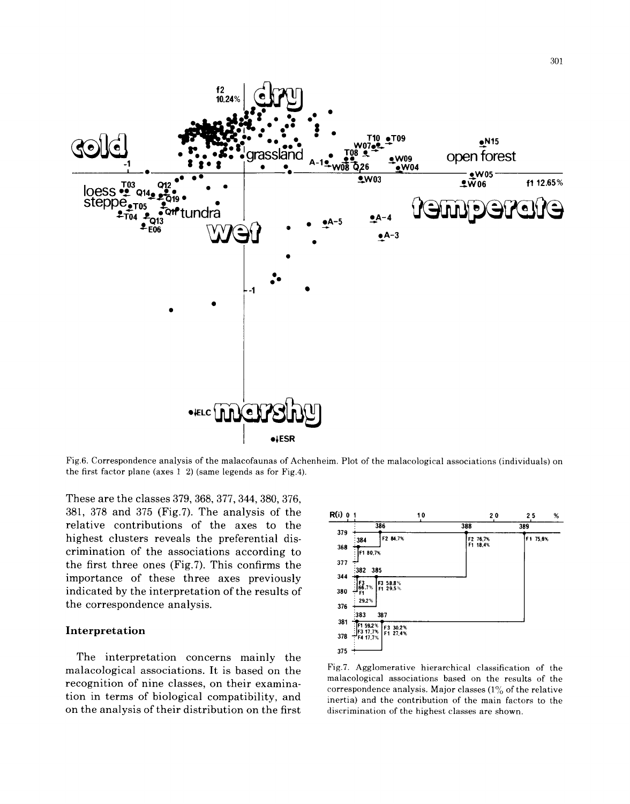

Fig.6. Correspondence analysis of the malacofaunas of Achenheim. Plot of the malacological associations (individuals) on the first factor plane (axes 1 2) (same legends as for Fig.4).

These are the classes 379, 368, 377, 344,380, 376, 381, 378 and 375 (Fig.7). The analysis of the relative contributions of the axes to the highest clusters reveals the preferential discrimination of the associations according to the first three ones (Fig.7). This confirms the importance of these three axes previously indicated by the interpretation of the results of the correspondence analysis.

# **Interpretation**

The interpretation concerns mainly the malacological associations. It is based on the recognition of nine classes, on their examination in terms of biological compatibility, and on the analysis of their distribution on the first



Fig.7. Agglomerative hierarchical classification of the malacological associations based on the results of the correspondence analysis. Major classes  $(1\%$  of the relative inertia) and the contribution of the main factors to the discrimination of the highest classes are shown.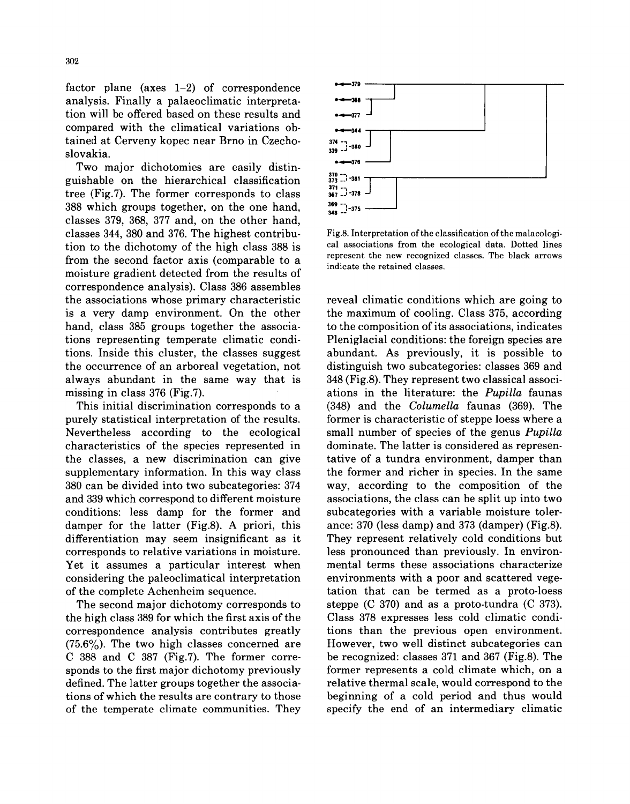factor plane (axes 1-2) of correspondence analysis. Finally a palaeoclimatic interpretation will be offered based on these results and compared with the climatical variations obtained at Cerveny kopec near Brno in Czechoslovakia.

Two major dichotomies are easily distinguishable on the hierarchical classification tree (Fig.7). The former corresponds to class 388 which groups together, on the one hand, classes 379, 368, 377 and, on the other hand, classes 344, 380 and 376. The highest contribution to the dichotomy of the high class 388 is from the second factor axis (comparable to a moisture gradient detected from the results of correspondence analysis). Class 386 assembles the associations whose primary characteristic is a very damp environment. On the other hand, class 385 groups together the associations representing temperate climatic conditions. Inside this cluster, the classes suggest the occurrence of an arboreal vegetation, not always abundant in the same way that is missing in class 376 (Fig.7).

This initial discrimination corresponds to a purely statistical interpretation of the results. Nevertheless according to the ecological characteristics of the species represented in the classes, a new discrimination can give supplementary information. In this way class 380 can be divided into two subcategories: 374 and 339 which correspond to different moisture conditions: less damp for the former and damper for the latter (Fig.8). A priori, this differentiation may seem insignificant as it corresponds to relative variations in moisture. Yet it assumes a particular interest when considering the paleoclimatical interpretation of the complete Achenheim sequence.

The second major dichotomy corresponds to the high class 389 for which the first axis of the correspondence analysis contributes greatly  $(75.6\%)$ . The two high classes concerned are C 388 and C 387 (Fig.7). The former corresponds to the first major dichotomy previously defined. The latter groups together the associations of which the results are contrary to those of the temperate climate communities. They



Fig.8. Interpretation of the classification of the malacological associations from the ecological data. Dotted lines represent the new recognized classes. The black arrows indicate the retained classes.

reveal climatic conditions which are going to the maximum of cooling. Class 375, according to the composition of its associations, indicates Pleniglacial conditions: the foreign species are abundant. As previously, it is possible to distinguish two subcategories: classes 369 and 348 (Fig.8). They represent two classical associations in the literature: the *Pupilla* faunas (348) and the *Columella* faunas (369). The former is characteristic of steppe loess where a small number of species of the genus *Pupilla*  dominate. The latter is considered as representative of a tundra environment, damper than the former and richer in species. In the same way, according to the composition of the associations, the class can be split up into two subcategories with a variable moisture tolerance: 370 (less damp) and 373 (damper) (Fig.8). They represent relatively cold conditions but less pronounced than previously. In environmental terms these associations characterize environments with a poor and scattered vegetation that can be termed as a proto-loess steppe (C 370) and as a proto-tundra (C 373). Class 378 expresses less cold climatic conditions than the previous open environment. However, two well distinct subcategories can be recognized: classes 371 and 367 (Fig.8). The former represents a cold climate which, on a relative thermal scale, would correspond to the beginning of a cold period and thus would specify the end of an intermediary climatic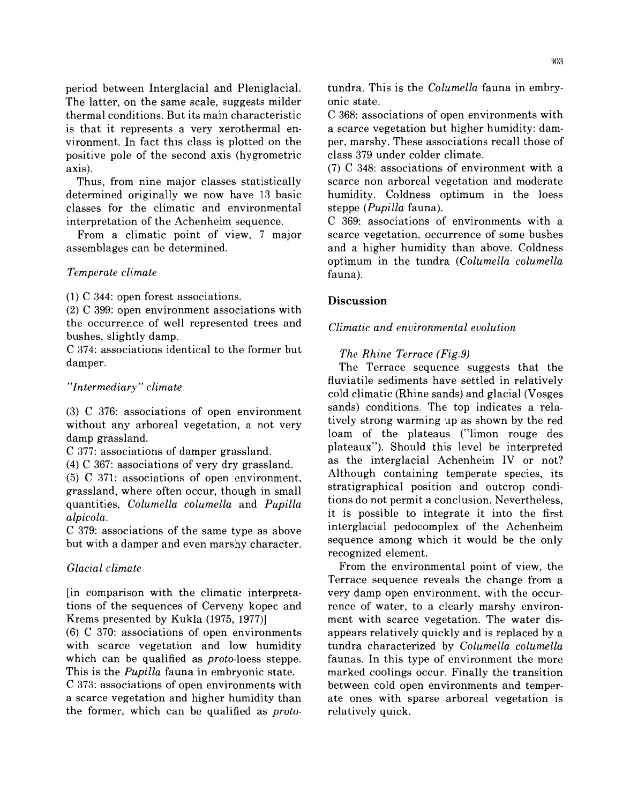period between Interglacial and Pleniglacial. The latter, on the same scale, suggests milder thermal conditions. But its main characteristic is that it represents a very xerothermal environment. In fact this class is plotted on the positive pole of the second axis (hygrometric axis).

Thus, from nine major classes statistically determined originally we now have 13 basic classes for the climatic and environmental interpretation of the Achenheim sequence.

From a climatic point of view, 7 major assemblages can be determined.

# *Temperate climate*

(1) C 344: open forest associations.

(2) C 399: open environment associations with the occurrence of well represented trees and bushes, slightly damp.

C 374: associations identical to the former but damper.

# *"Intermediary' climate*

(3) C 376: associations of open environment without any arboreal vegetation, a not very damp grassland.

C 377: associations of damper grassland.

(4) C 367: associations of very dry grassland.

(5) C 371: associations of open environment, grassland, where often occur, though in small quantities, *Columella columella* and *Pupilla alpicola.* 

C 379: associations of the same type as above but with a damper and even marshy character.

# *Glacial climate*

[in comparison with the climatic interpretations of the sequences of Cerveny kopec and Krems presented by Kukla (1975, 1977)]

(6) C 370: associations of open environments with scarce vegetation and low humidity which can be qualified as *proto-loess* steppe. This is the *Pupilla* fauna in embryonic state.

C 373: associations of open environments with a scarce vegetation and higher humidity than the former, which can be qualified as *proto-* tundra. This is the *Columella* fauna in embryonic state.

C 368: associations of open environments with a scarce vegetation but higher humidity: damper, marshy. These associations recall those of class 379 under colder climate.

(7) C 348: associations of environment with a scarce non arboreal vegetation and moderate humidity. Coldness optimum in the loess steppe *(Pupilla* fauna).

C 369: associations of environments with a scarce vegetation, occurrence of some bushes and a higher humidity than above. Coldness optimum in the tundra *(Columella columella*  fauna).

# **Discussion**

# *Climatic and environmental evolution*

# *The Rhine Terrace (Fig.9)*

The Terrace sequence suggests that the fluviatile sediments have settled in relatively cold climatic (Rhine sands) and glacial (Vosges sands) conditions. The top indicates a relatively strong warming up as shown by the red loam of the plateaus ("limon rouge des plateaux"). Should this level be interpreted as the interglacial Achenheim IV or not? Although containing temperate species, its stratigraphical position and outcrop conditions do not permit a conclusion. Nevertheless, it is possible to integrate it into the first interglacial pedocomplex of the Achenheim sequence among which it would be the only recognized element.

From the environmental point of view, the Terrace sequence reveals the change from a very damp open environment, with the occurrence of water, to a clearly marshy environment with scarce vegetation. The water disappears relatively quickly and is replaced by a tundra characterized by *Columella columella*  faunas. In this type of environment the more marked coolings occur. Finally the transition between cold open environments and temperate ones with sparse arboreal vegetation is relatively quick.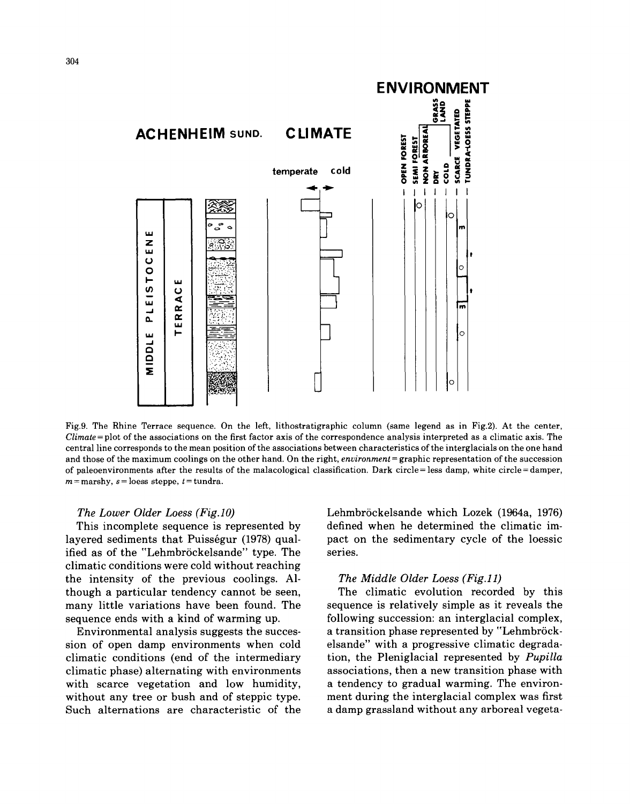

Fig.9. The Rhine Terrace sequence. On the left, lithostratigraphic column (same legend as in Fig.2). At the center, *Climate =* plot of the associations on the first factor axis of the correspondence analysis interpreted as a climatic axis. The central line corresponds to the mean position of the associations between characteristics of the interglacials on the one hand and those of the maximum coolings on the other hand. On the right, *environment =* graphic representation of the succession of paleoenvironments after the results of the malacological classification. Dark circle = less damp, white circle = damper,  $m =$ marshy,  $s =$ loess steppe,  $t =$ tundra.

#### *The Lower Older Loess (Fig.lO)*

This incomplete sequence is represented by layered sediments that Puisségur (1978) qualified as of the "Lehmbröckelsande" type. The climatic conditions were cold without reaching the intensity of the previous coolings. Although a particular tendency cannot be seen, many little variations have been found. The sequence ends with a kind of warming up.

Environmental analysis suggests the succession of open damp environments when cold climatic conditions (end of the intermediary climatic phase) alternating with environments with scarce vegetation and low humidity, without any tree or bush and of steppic type. Such alternations are characteristic of the Lehmbröckelsande which Lozek (1964a, 1976) defined when he determined the climatic impact on the sedimentary cycle of the loessic series.

#### *The Middle Older Loess (Fig.11)*

The climatic evolution recorded by this sequence is relatively simple as it reveals the following succession: an interglacial complex, a transition phase represented by "Lehmbröckelsande" with a progressive climatic degradation, the Pleniglacial represented by *Pupilla*  associations, then a new transition phase with a tendency to gradual warming. The environment during the interglacial complex was first a damp grassland without any arboreal vegeta-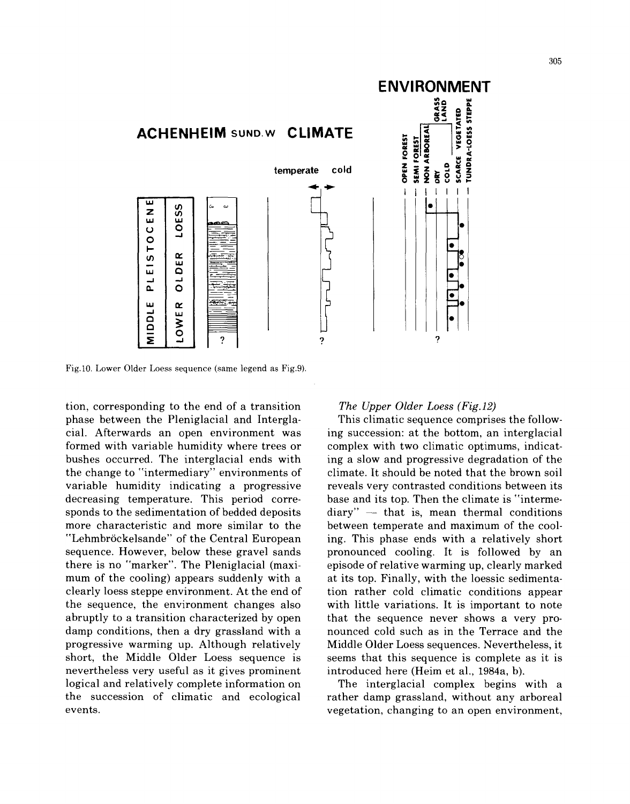

Fig.10. Lower Older Loess sequence (same legend as Fig.9).

tion, corresponding to the end of a transition phase between the Pleniglacial and Interglacial. Afterwards an open environment was formed with variable humidity where trees or bushes occurred. The interglacial ends with the change to "intermediary" environments of variable humidity indicating a progressive decreasing temperature. This period corresponds to the sedimentation of bedded deposits more characteristic and more similar to the "Lehmbröckelsande" of the Central European sequence. However, below these gravel sands there is no "marker". The Pleniglacial (maximum of the cooling) appears suddenly with a clearly loess steppe environment. At the end of the sequence, the environment changes also abruptly to a transition characterized by open damp conditions, then a dry grassland with a progressive warming up. Although relatively short, the Middle Older Loess sequence is nevertheless very useful as it gives prominent logical and relatively complete information on the succession of climatic and ecological events.

#### *The Upper Older Loess (Fig.12)*

This climatic sequence comprises the following succession: at the bottom, an interglacial complex with two climatic optimums, indicating a slow and progressive degradation of the climate. It should be noted that the brown soil reveals very contrasted conditions between its base and its top. Then the climate is "interme $diary''$  — that is, mean thermal conditions between temperate and maximum of the cooling. This phase ends with a relatively short pronounced cooling. It is followed by an episode of relative warming up, clearly marked at its top. Finally, with the loessic sedimentation rather cold climatic conditions appear with little variations. It is important to note that the sequence never shows a very pronounced cold such as in the Terrace and the Middle Older Loess sequences. Nevertheless, it seems that this sequence is complete as it is introduced here (Heim et al., 1984a, b).

The interglacial complex begins with a rather damp grassland, without any arboreal vegetation, changing to an open environment,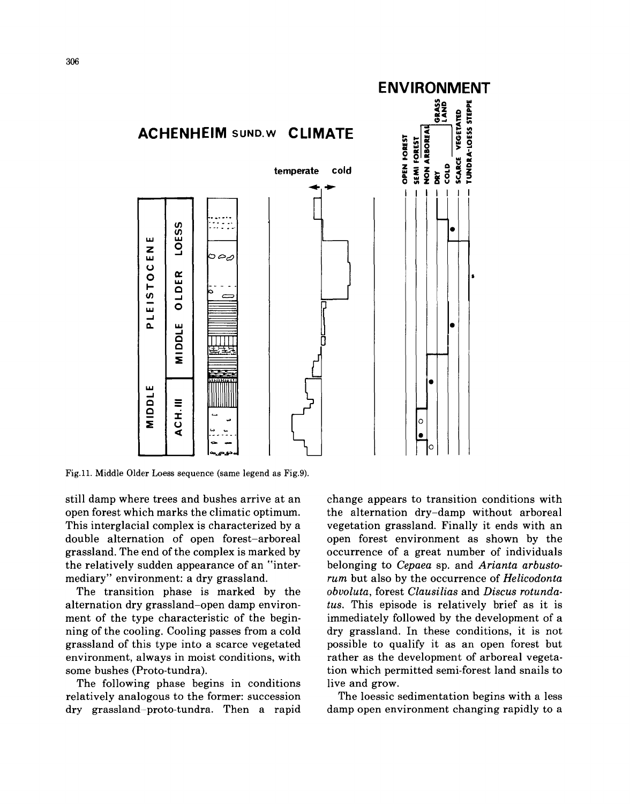

Fig.ll. Middle Older Loess sequence (same legend as Fig.9).

still damp where trees and bushes arrive at an open forest which marks the climatic optimum. This interglacial complex is characterized by a double alternation of open forest-arboreal grassland. The end of the complex is marked by the relatively sudden appearance of an "intermediary" environment: a dry grassland.

The transition phase is marked by the alternation dry grassland-open damp environment of the type characteristic of the beginning of the cooling. Cooling passes from a cold grassland of this type into a scarce vegetated environment, always in moist conditions, with some bushes (Proto-tundra).

The following phase begins in conditions relatively analogous to the former: succession dry grassland-proto-tundra. Then a rapid

change appears to transition conditions with the alternation dry-damp without arboreal vegetation grassland. Finally it ends with an open forest environment as shown by the occurrence of a great number of individuals belonging to *Cepaea* sp. and *Arianta arbustorum* but also by the occurrence of *Helicodonta obvoluta,* forest *Clausilias* and *Discus rotundatus.* This episode is relatively brief as it is immediately followed by the development of a dry grassland. In these conditions, it is not possible to qualify it as an open forest but rather as the development of arboreal vegetation which permitted semi-forest land snails to live and grow.

The loessic sedimentation begins with a less damp open environment changing rapidly to a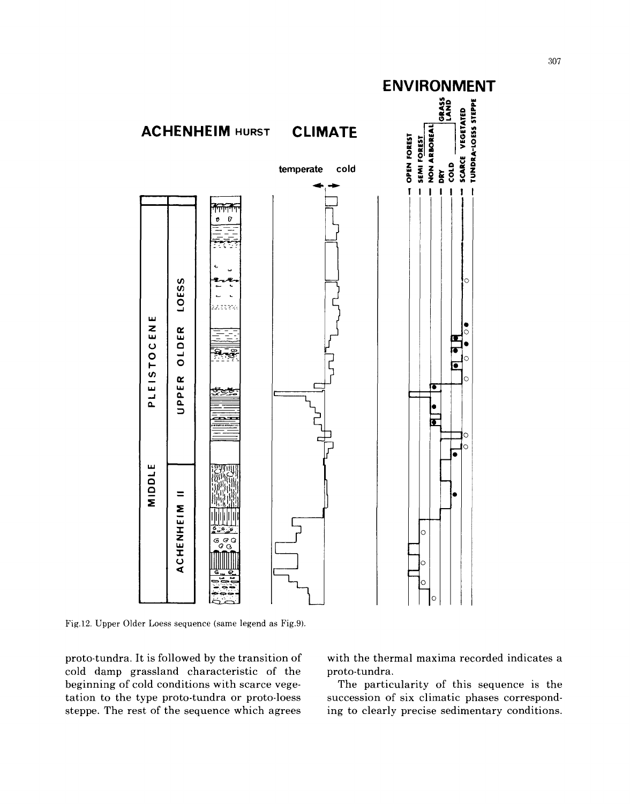

Fig.12. Upper Older Loess sequence (same legend as Fig.9).

proto-tundra. It is followed by the transition of cold damp grassland characteristic of the beginning of cold conditions with scarce vegetation to the type proto-tundra or proto-loess steppe. The rest of the sequence which agrees with the thermal maxima recorded indicates a proto-tundra.

The particularity of this sequence is the succession of six climatic phases corresponding to clearly precise sedimentary conditions.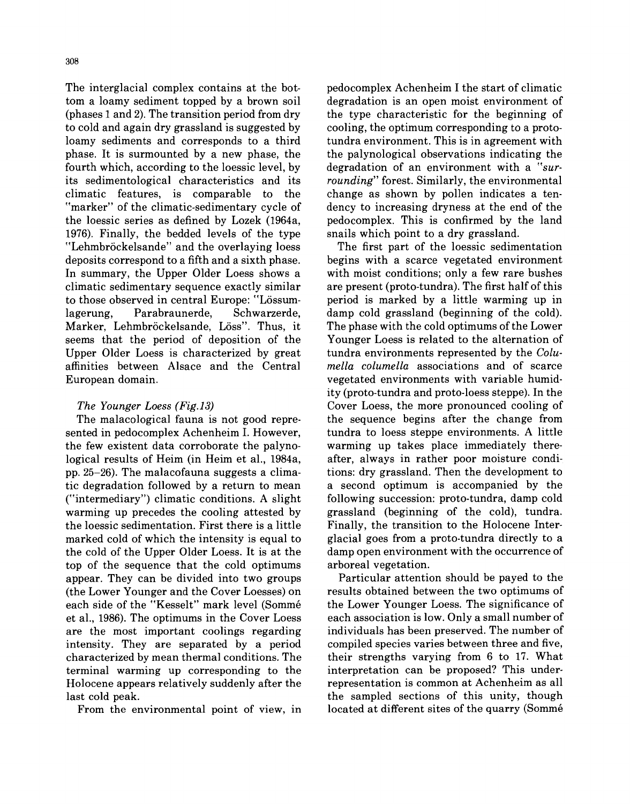308

The interglacial complex contains at the bottom a loamy sediment topped by a brown soil (phases 1 and 2). The transition period from dry to cold and again dry grassland is suggested by loamy sediments and corresponds to a third phase. It is surmounted by a new phase, the fourth which, according to the loessic level, by its sedimentological characteristics and its climatic features, is comparable to the "marker" of the climatic-sedimentary cycle of the loessic series as defined by Lozek (1964a, 1976). Finally, the bedded levels of the type "Lehmbröckelsande" and the overlaying loess deposits correspond to a fifth and a sixth phase. In summary, the Upper Older Loess shows a climatic sedimentary sequence exactly similar to those observed in central Europe: "Lössumlagerung, Parabraunerde, Schwarzerde, Marker, Lehmbröckelsande, Löss". Thus, it seems that the period of deposition of the Upper Older Loess is characterized by great affinities between Alsace and the Central European domain.

# *The Younger Loess (Fig.13)*

The malacological fauna is not good represented in pedocomplex Achenheim I. However, the few existent data corroborate the palynological results of Heim (in Heim et al., 1984a, pp. 25-26). The malacofauna suggests a climatic degradation followed by a return to mean ("intermediary") climatic conditions. A slight warming up precedes the cooling attested by the loessic sedimentation. First there is a little marked cold of which the intensity is equal to the cold of the Upper Older Loess. It is at the top of the sequence that the cold optimums appear. They can be divided into two groups (the Lower Younger and the Cover Loesses) on each side of the "Kesselt" mark level (Sommé et al., 1986). The optimums in the Cover Loess are the most important coolings regarding intensity. They are separated by a period characterized by mean thermal conditions. The terminal warming up corresponding to the Holocene appears relatively suddenly after the last cold peak.

From the environmental point of view, in

pedocomplex Achenheim I the start of climatic degradation is an open moist environment of the type characteristic for the beginning of cooling, the optimum corresponding to a prototundra environment. This is in agreement with the palynological observations indicating the degradation of an environment with a "sur*rounding"* forest. Similarly, the environmental change as shown by pollen indicates a tendency to increasing dryness at the end of the pedocomplex. This is confirmed by the land snails which point to a dry grassland.

The first part of the loessic sedimentation begins with a scarce vegetated environment with moist conditions; only a few rare bushes are present (proto-tundra). The first half of this period is marked by a little warming up in damp cold grassland (beginning of the cold). The phase with the cold optimums of the Lower Younger Loess is related to the alternation of tundra environments represented by the *Columella columella* associations and of scarce vegetated environments with variable humidity (proto-tundra and proto-loess steppe). In the Cover Loess, the more pronounced cooling of the sequence begins after the change from tundra to loess steppe environments. A little warming up takes place immediately thereafter, always in rather poor moisture conditions: dry grassland. Then the development to a second optimum is accompanied by the following succession: proto-tundra, damp cold grassland (beginning of the cold), tundra. Finally, the transition to the Holocene Interglacial goes from a proto-tundra directly to a damp open environment with the occurrence of arboreal vegetation.

Particular attention should be payed to the results obtained between the two optimums of the Lower Younger Loess. The significance of each association is low. Only a small number of individuals has been preserved. The number of compiled species varies between three and five, their strengths varying from 6 to 17. What interpretation can be proposed? This underrepresentation is common at Achenheim as all the sampled sections of this unity, though located at different sites of the quarry (Sommé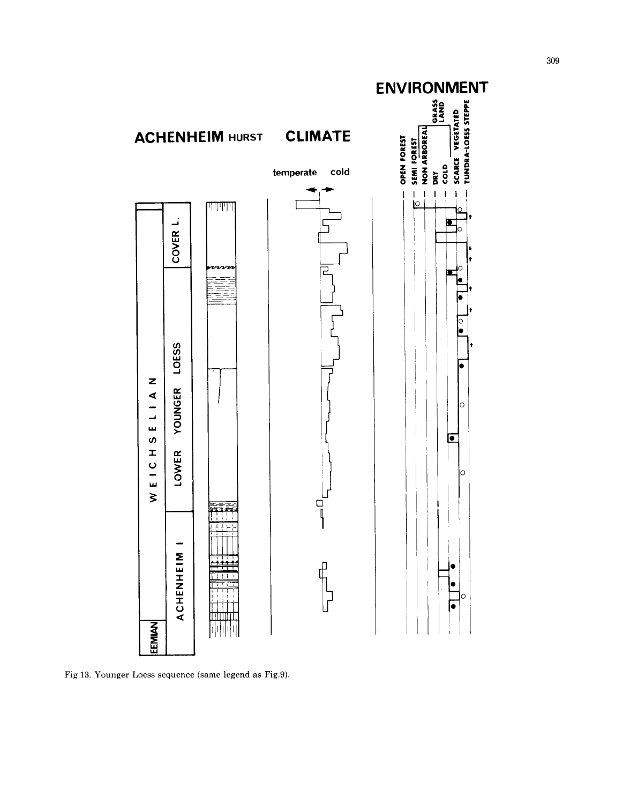

Fig.13. Younger Loess sequence (same legend as Fig.9).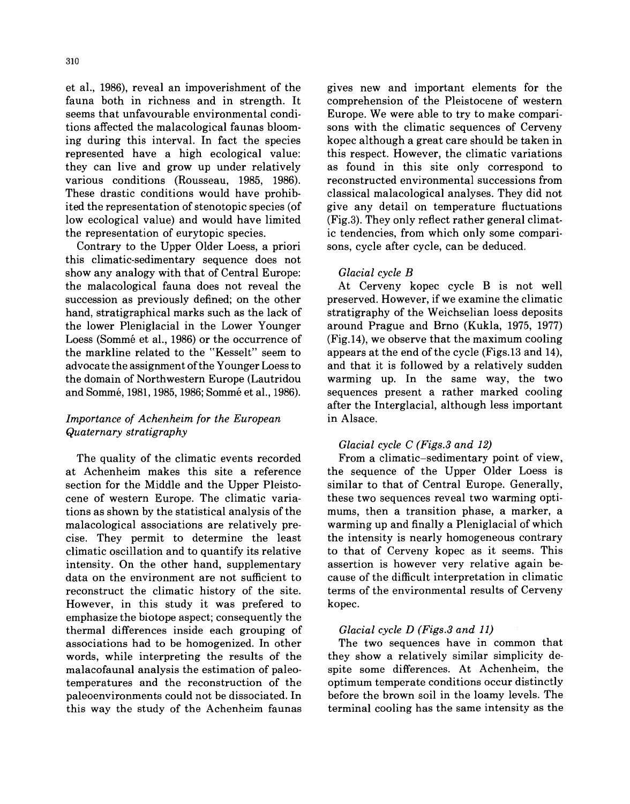et al., 1986), reveal an impoverishment of the fauna both in richness and in strength. It seems that unfavourable environmental conditions affected the malacological faunas blooming during this interval. In fact the species represented have a high ecological value: they can live and grow up under relatively various conditions (Rousseau, 1985, 1986). These drastic conditions would have prohibited the representation of stenotopic species (of low ecological value) and would have limited the representation of eurytopic species.

Contrary to the Upper Older Loess, a priori this climatic-sedimentary sequence does not show any analogy with that of Central Europe: the malacological fauna does not reveal the succession as previously defined; on the other hand, stratigraphical marks such as the lack of the lower Pleniglacial in the Lower Younger Loess (Sommé et al., 1986) or the occurrence of the markline related to the "Kesselt" seem to advocate the assignment of the Younger Loess to the domain of Northwestern Europe (Lautridou and Sommé, 1981, 1985, 1986; Sommé et al., 1986).

# *Importance of Achenheim for the European Quaternary stratigraphy*

The quality of the climatic events recorded at Achenheim makes this site a reference section for the Middle and the Upper Pleistocene of western Europe. The climatic variations as shown by the statistical analysis of the malacological associations are relatively precise. They permit to determine the least climatic oscillation and to quantify its relative intensity. On the other hand, supplementary data on the environment are not sufficient to reconstruct the climatic history of the site. However, in this study it was prefered to emphasize the biotope aspect; consequently the thermal differences inside each grouping of associations had to be homogenized. In other words, while interpreting the results of the malacofaunal analysis the estimation of paleotemperatures and the reconstruction of the paleoenvironments could not be dissociated. In this way the study of the Achenheim faunas

gives new and important elements for the comprehension of the Pleistocene of western Europe. We were able to try to make comparisons with the climatic sequences of Cerveny kopec although a great care should be taken in this respect. However, the climatic variations as found in this site only correspond to reconstructed environmental successions from classical malacological analyses. They did not give any detail on temperature fluctuations (Fig.3). They only reflect rather general climatic tendencies, from which only some comparisons, cycle after cycle, can be deduced.

# *Glacial cycle B*

At Cerveny kopec cycle B is not well preserved. However, if we examine the climatic stratigraphy of the Weichselian loess deposits around Prague and Brno (Kukla, 1975, 1977) (Fig.14), we observe that the maximum cooling appears at the end of the cycle (Figs.13 and 14), and that it is followed by a relatively sudden warming up. In the same way, the two sequences present a rather marked cooling after the Interglacial, although less important in Alsace.

# *Glacial cycle C (Figs.3 and 12)*

From a climatic-sedimentary point of view, the sequence of the Upper Older Loess is similar to that of Central Europe. Generally, these two sequences reveal two warming optimums, then a transition phase, a marker, a warming up and finally a Pleniglacial of which the intensity is nearly homogeneous contrary to that of Cerveny kopec as it seems. This assertion is however very relative again because of the difficult interpretation in climatic terms of the environmental results of Cerveny kopec.

# *Glacial cycle D (Figs.3 and 11)*

The two sequences have in common that they show a relatively similar simplicity despite some differences. At Achenheim, the optimum temperate conditions occur distinctly before the brown soil in the loamy levels. The terminal cooling has the same intensity as the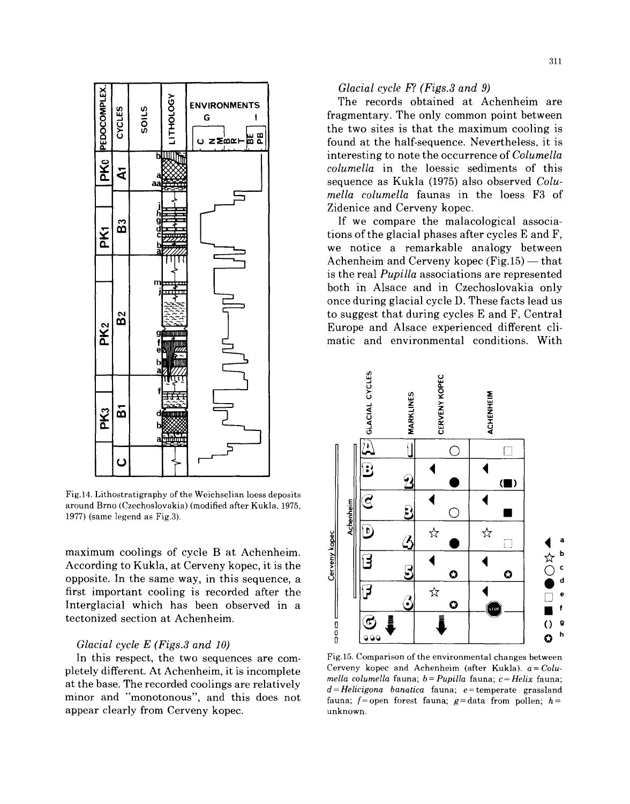

Fig.14. Lithostratigraphy of the Weichselian loess deposits around Brno (Czechoslovakia) (modified after Kukla, 1975, 1977) (same legend as Fig.3).

maximum coolings of cycle B at Achenheim. According to Kukla, at Cerveny kopec, it is the opposite. In the same way, in this sequence, a first important cooling is recorded after the Interglacial which has been observed in a tectonized section at Achenheim.

# *Glacial cycle E (Figs.3 and 10)*

In this respect, the two sequences are completely different. At Achenheim, it is incomplete at the base. The recorded coolings are relatively minor and "monotonous", and this does not appear clearly from Cerveny kopec.

# *Glacial cycle F?. (Figs.3 and 9)*

The records obtained at Achenheim are fragmentary. The only common point between the two sites is that the maximum cooling is found at the half-sequence. Nevertheless, it is interesting to note the occurrence of *Columella columella* in the loessic sediments of this sequence as Kukla (1975) also observed *Columella columella* faunas in the loess F3 of Zidenice and Cerveny kopec.

If we compare the malacological associations of the glacial phases after cycles E and F, we notice a remarkable analogy between Achenheim and Cerveny kopec  $(Fig.15)$  -- that is the real *Pupilla* associations are represented both in Alsace and in Czechoslovakia only once during glacial cycle D. These facts lead us to suggest that during cycles E and F, Central Europe and Alsace experienced different climatic and environmental conditions. With

*m,, ~ > 0 -, z z ~3 =E U <*   $\overline{\mathbf{1}}$  $\circ$   $\Box$ 3  $\blacktriangleleft$ **• (m)**  ලු  $\blacktriangleleft$  $\blacktriangleleft$ Achenheim  $\bf B$  $\circ$   $\qquad \blacksquare$ D  $\hat{\mathbf{x}}$   $\mathbf{a}$ <u>Cerveny kope</u> a *C5*   $\Box$ **4 O c 0 O O d**  ☆ ි O **B f () g**  D Ó

Fig. 15. Comparison of the environmental changes between Cerveny kopec and Achenheim (after Kukla). a= *Columella columella* fauna; b = *Pupilla* fauna; *c- Helix* fauna; *d-Helicigona banatica* fauna; e= temperate grassland fauna;  $f=$ open forest fauna;  $g=$ data from pollen;  $h=$ unknown.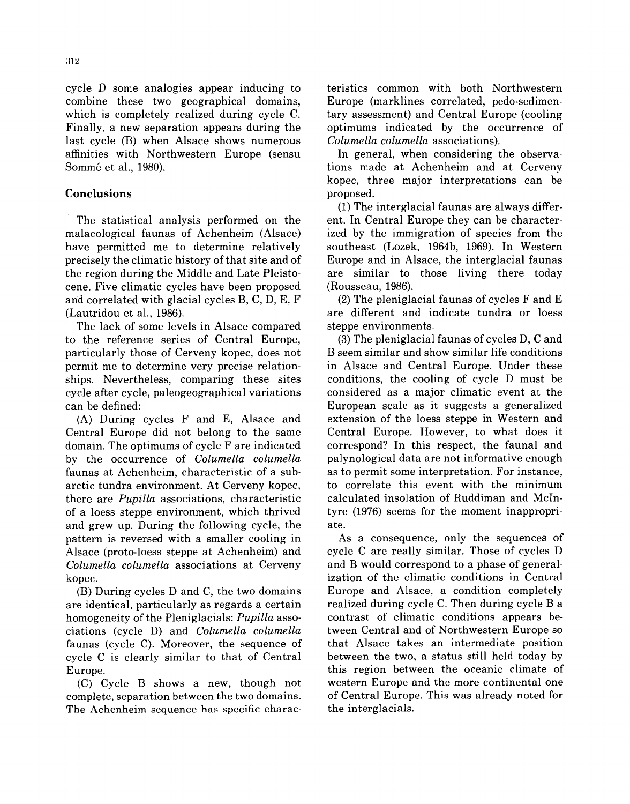cycle D some analogies appear inducing to combine these two geographical domains, which is completely realized during cycle C. Finally, a new separation appears during the last cycle (B) when Alsace shows numerous affinities with Northwestern Europe (sensu Sommé et al., 1980).

# **Conclusions**

The statistical analysis performed on the malacological faunas of Achenheim (Alsace) have permitted me to determine relatively precisely the climatic history of that site and of the region during the Middle and Late Pleistocene. Five climatic cycles have been proposed and correlated with glacial cycles B, C, D, E, F (Lautridou et al., 1986).

The lack of some levels in Alsace compared to the reference series of Central Europe, particularly those of Cerveny kopec, does not permit me to determine very precise relationships. Nevertheless, comparing these sites cycle after cycle, paleogeographical variations can be defined:

(A) During cycles F and E, Alsace and Central Europe did not belong to the same domain. The optimums of cycle F are indicated by the occurrence of *Columella columella*  faunas at Achenheim, characteristic of a subarctic tundra environment. At Cerveny kopec, there are *Pupilla* associations, characteristic of a loess steppe environment, which thrived and grew up. During the following cycle, the pattern is reversed with a smaller cooling in Alsace (proto-loess steppe at Achenheim) and *Columella columella* associations at Cerveny kopec.

(B) During cycles D and C, the two domains are identical, particularly as regards a certain homogeneity of the Pleniglacials: *Pupilla* associations (cycle D) and *Columella columella*  faunas (cycle C). Moreover, the sequence of cycle C is clearly similar to that of Central Europe.

(C) Cycle B shows a new, though not complete, separation between the two domains. The Achenheim sequence has specific charac-

teristics common with both Northwestern Europe (marklines correlated, pedo-sedimentary assessment) and Central Europe (cooling optimums indicated by the occurrence of *Columella columella* associations).

In general, when considering the observations made at Achenheim and at Cerveny kopec, three major interpretations can be proposed.

(1) The interglacial faunas are always different. In Central Europe they can be characterized by the immigration of species from the southeast (Lozek, 1964b, 1969). In Western Europe and in Alsace, the interglacial faunas are similar to those living there today (Rousseau, 1986).

(2) The pleniglacial faunas of cycles F and E are different and indicate tundra or loess steppe environments.

(3) The pleniglacial faunas of cycles D, C and B seem similar and show similar life conditions in Alsace and Central Europe. Under these conditions, the cooling of cycle D must be considered as a major climatic event at the European scale as it suggests a generalized extension of the loess steppe in Western and Central Europe. However, to what does it correspond? In this respect, the faunal and palynological data are not informative enough as to permit some interpretation. For instance, to correlate this event with the minimum calculated insolation of Ruddiman and McIntyre (1976) seems for the moment inappropriate.

As a consequence, only the sequences of cycle C are really similar. Those of cycles D and B would correspond to a phase of generalization of the climatic conditions in Central Europe and Alsace, a condition completely realized during cycle C. Then during cycle B a contrast of climatic conditions appears between Central and of Northwestern Europe so that Alsace takes an intermediate position between the two, a status still held today by this region between the oceanic climate of western Europe and the more continental one of Central Europe. This was already noted for the interglacials.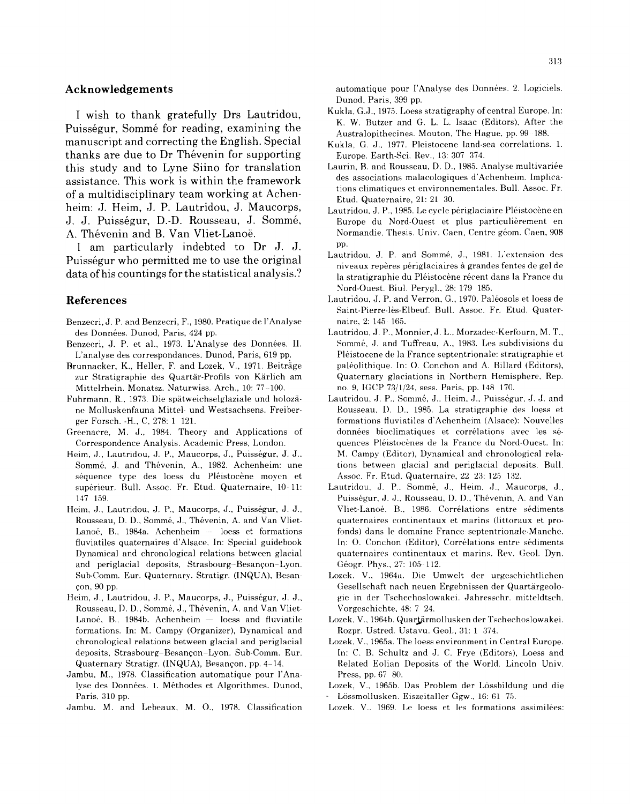# **Acknowledgements**

I wish to thank gratefully Drs Lautridou, Puisségur, Sommé for reading, examining the manuscript and correcting the English. Special thanks are due to Dr Thévenin for supporting this study and to Lyne Siino for translation assistance. This work is within the framework of a multidisciplinary team working at Achenheim: J. Heim, J. P. Lautridou, J. Maucorps, J. J. Puisségur, D.-D. Rousseau, J. Sommé, A. Thévenin and B. Van Vliet-Lanoë.

I am particularly indebted to Dr J. J. Puisségur who permitted me to use the original data of his countings for the statistical analysis.?

#### **References**

- Benzecri, J. P. and Benzecri, F., 1980. Pratique de l'Analyse des Données. Dunod, Paris, 424 pp.
- Benzecri, J. P. et al., 1973. L'Analyse des Données. II. L'analyse des correspondances. Dunod, Paris, 619 pp..
- Brunnacker, K., Heller, F. and Lozek, V., 1971. Beiträge zur Stratigraphie des Quartär-Profils von Kärlich am Mittelrhein. Monatsz. Naturwiss. Arch., 10: 77-100.
- Fuhrmann, R., 1973. Die spätweichselglaziale und holozäne Molluskenfauna Mittel- und Westsachsens. Freiberger Forsch. -H., C, 278:1 121.
- Greenacre, M. J., 1984. Theory and Applications of Correspondence Analysis. Academic Press, London.
- Heim, J., Lautridou, J. P., Maucorps, J., Puisségur, J. J., Sommé, J. and Thévenin, A., 1982. Achenheim: une séquence type des loess du Pléistocène moyen et supérieur. Bull. Assoc. Fr. Etud. Quaternaire, 10-11: 147 159.
- Heim, J., Lautridou, J. P., Maucorps, J., Puisségur, J. J., Rousseau, D. D., Sommé, J., Thévenin, A. and Van Vliet-Lanoé, B., 1984a. Achenheim -- loess et formations fluviatiles quaternaires d'Alsace. In: Special guidebook Dynamical and chronological relations between glacial and periglacial deposits, Strasbourg-Besançon-Lyon. Sub-Comm. Eur. Quaternary. Stratigr. (INQUA), Besançon, 90 pp.
- Heim, J., Lautridou, J. P., Maucorps, J., Puisségur, J. J., Rousseau, D. D., Sommé, J., Thévenin, A. and Van Vliet-Lanoé, B., 1984b. Achenheim  $-$  loess and fluviatile formations. In: M. Campy (Organizer), Dynamical and chronological relations between glacial and periglacial deposits, Strasbourg-Besançon-Lyon. Sub-Comm. Eur. Quaternary Stratigr. (INQUA), Besan¢on, pp. 4 14.
- Jambu, M., 1978. Classification automatique pour l'Analyse des Données. 1. Méthodes et Algorithmes. Dunod, Paris, 310 pp.
- Jambu, M. and Lebeaux, M. O., 1978. Classification

automatique pour l'Analyse des Données. 2. Logiciels. Dunod, Paris, 399 pp.

- Kukla, G.J., 1975. Loess stratigraphy of central Europe. In: K. W. Butzer and G. L. L. Isaac (Editors), After the Australopithecines. Mouton, The Hague, pp. 99 188.
- Kukla, G. J., 1977. Pleistocene land-sea correlations. 1. Europe. Earth-Sci. Rev., 13:307 374.
- Laurin, B. and Rousseau, D. D., 1985. Analyse multivariée des associations malacologiques d'Achenheim. Implications climatiques et environnementales. Bull. Assoc. Fr. Etud. Quaternaire, 21:21 30.
- Lautridou, J. P., 1985. Le cycle périglaciaire Pléistocène en Europe du Nord-Ouest et plus particulièrement en Normandie. Thesis. Univ. Caen, Centre géom. Caen, 908 pp.
- Lautridou, J. P. and Sommé, J., 1981. L'extension des niveaux repères périglaciaires à grandes fentes de gel de la stratigraphie du Pléistocène récent dans la France du Nord-Ouest. Biul. Perygl., 28:179 185.
- Lautridou, J. P. and Verron, G., 1970. Paléosols et loess de Saint-Pierre-lès-Elbeuf. Bull. Assoc. Fr. Etud. Quaternaire, 2:145 165.
- Lautridou, J. P., Monnier, J. L., Morzadec-Kerfourn, M. T., Somm6, J. and Tuffreau, A., 1983. Les subdivisions du P16istocene de la France septentrionale: stratigraphie et paléolithique. In: O. Conchon and A. Billard (Editors), Quaternary glaciations in Northern Hemisphere, Rep. no. 9, IGCP *73/l/24,* sess. Paris, pp. 148 170.
- Lautridou, J. P., Sommé, J., Heim, J., Puisségur, J. J. and Rousseau. D. 1).. 1985. La stratigraphie des loess et formations fluviatiles d'Achenheim (Alsace): Nouvelles données bioclimatiques et corrélations avec les séquences Pléistocènes de la France du Nord-Ouest. In: M. Campy (Editor), Dynamical and chronological relations between glacial and periglacial deposits. Bull. Assoc. Fr. Etud. Quaternaire, 22 23:125 132.
- Lautridou, J. P.. Somme, J., Heim, J., Maucorps, J., Puisségur, J. J., Rousseau, D. D., Thévenin, A. and Van Vliet-Lanoé, B., 1986. Corrélations entre sédiments quaternaires continentaux et marins (littoraux et profonds) dans le domaine France septentrionale-Manche. In: O. Conchon (Editor), Corrélations entre sédiments quaternaires continentaux et marins. Rev. Geol. Dyn. Géogr. Phys., 27: 105-112.
- Lozek. V., 1964a. Die Umwelt der urgeschichtlichen Gesellschaft nach neuen Ergebnissen der Quartärgeologie in der Tschechoslowakei. Jahresschr. mitteldtsch. Vorgeschichte, 48:7 24.
- Lozek, V., 1964b. Quartärmollusken der Tschechoslowakei. Rozpr. Ustred. Ustavu. Geol., 31:1 374.
- Lozek, V., 1965a. The loess environment in Central Europe. In: C. B. Schultz and J. C. Frye (Editors), Loess and Related Eolian Deposits of the World. Lincoln Univ. Press, pp. 67 80.
- Lozek, V., 1965b. Das Problem der Lössbildung und die Lössmollusken. Eiszeitaller Ggw., 16:61 75.
- Lozek, V., 1969. Le loess et les formations assimilées: